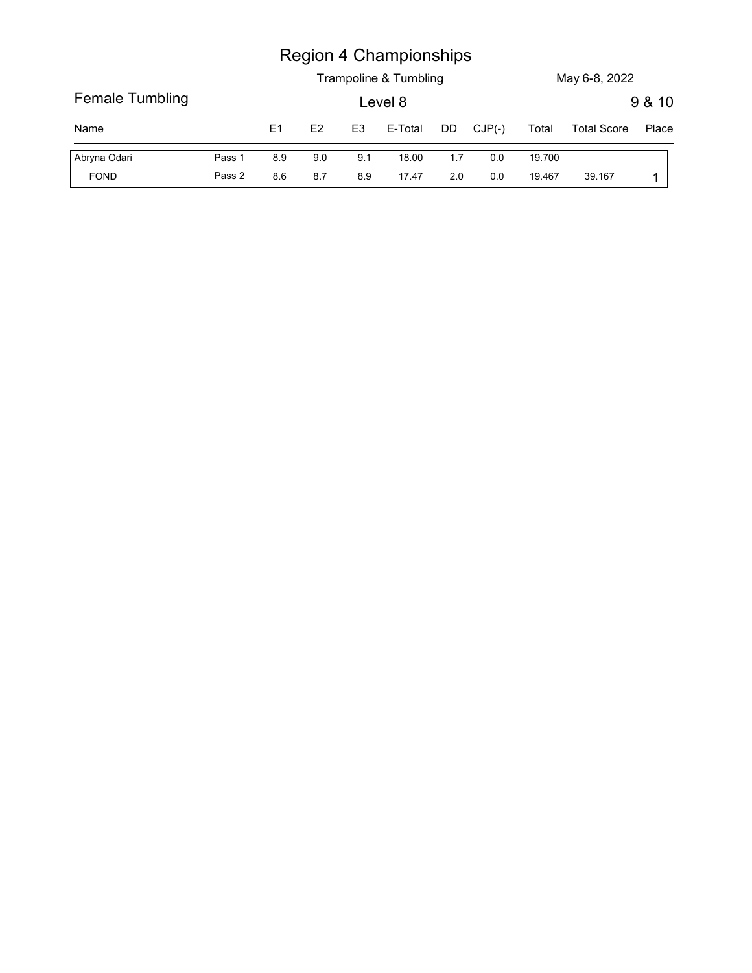|                 |        |                |     |                | <b>Region 4 Championships</b> |     |          |        |                    |        |
|-----------------|--------|----------------|-----|----------------|-------------------------------|-----|----------|--------|--------------------|--------|
|                 |        |                |     |                | Trampoline & Tumbling         |     |          |        | May 6-8, 2022      |        |
| Female Tumbling |        |                |     |                | Level 8                       |     |          |        |                    | 9 & 10 |
| Name            |        | E <sub>1</sub> | E2  | E <sub>3</sub> | E-Total                       | DD  | $CJP(-)$ | Total  | <b>Total Score</b> | Place  |
| Abryna Odari    | Pass 1 | $8.9\,$        | 9.0 | 9.1            | 18.00                         | 1.7 | $0.0\,$  | 19.700 |                    |        |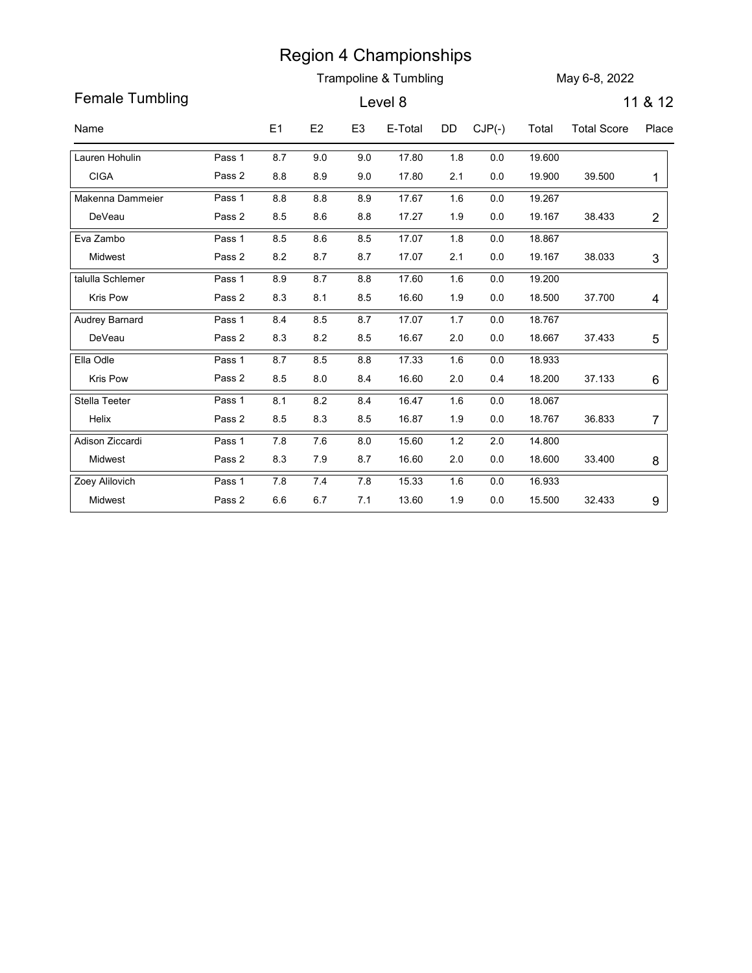|                        |        |           |                |                | <b>Region 4 Championships</b>    |         |          |        |                    |                |
|------------------------|--------|-----------|----------------|----------------|----------------------------------|---------|----------|--------|--------------------|----------------|
| <b>Female Tumbling</b> |        |           |                |                | Trampoline & Tumbling<br>Level 8 |         |          |        | May 6-8, 2022      | 11 & 12        |
|                        |        |           |                |                |                                  |         |          |        |                    |                |
| Name                   |        | E1        | E <sub>2</sub> | E <sub>3</sub> | E-Total                          | DD      | $CJP(-)$ | Total  | <b>Total Score</b> | Place          |
| Lauren Hohulin         | Pass 1 | 8.7       | 9.0            | 9.0            | 17.80                            | 1.8     | 0.0      | 19.600 |                    |                |
| <b>CIGA</b>            | Pass 2 | 8.8       | 8.9            | 9.0            | 17.80                            | 2.1     | 0.0      | 19.900 | 39.500             | -1             |
| Makenna Dammeier       | Pass 1 | 8.8       | 8.8            | 8.9            | 17.67                            | 1.6     | 0.0      | 19.267 |                    |                |
| DeVeau                 | Pass 2 | 8.5       | 8.6            | $8.8\,$        | 17.27                            | 1.9     | $0.0\,$  | 19.167 | 38.433             | $\overline{c}$ |
| Eva Zambo              | Pass 1 | 8.5       | 8.6            | 8.5            | 17.07                            | 1.8     | 0.0      | 18.867 |                    |                |
| Midwest                | Pass 2 | 8.2       | 8.7            | 8.7            | 17.07                            | 2.1     | 0.0      | 19.167 | 38.033             | $\mathfrak{S}$ |
| talulla Schlemer       | Pass 1 | 8.9       | 8.7            | 8.8            | 17.60                            | 1.6     | 0.0      | 19.200 |                    |                |
| <b>Kris Pow</b>        | Pass 2 | 8.3       | 8.1            | 8.5            | 16.60                            | 1.9     | 0.0      | 18.500 | 37.700             | 4              |
| Audrey Barnard         | Pass 1 | 8.4       | 8.5            | 8.7            | 17.07                            | 1.7     | $0.0\,$  | 18.767 |                    |                |
| DeVeau                 | Pass 2 | $8.3\,$   | $\bf 8.2$      | $\bf 8.5$      | 16.67                            | $2.0\,$ | $0.0\,$  | 18.667 | 37.433             | 5              |
| Ella Odle              | Pass 1 | $8.7\,$   | $\bf 8.5$      | $\bf 8.8$      | 17.33                            | 1.6     | $0.0\,$  | 18.933 |                    |                |
| Kris Pow               | Pass 2 | $\bf 8.5$ | $8.0\,$        | 8.4            | 16.60                            | $2.0\,$ | 0.4      | 18.200 | 37.133             | $6\,$          |
| Stella Teeter          | Pass 1 | 8.1       | $\bf 8.2$      | $\bf 8.4$      | 16.47                            | 1.6     | $0.0\,$  | 18.067 |                    |                |
| Helix                  | Pass 2 | $8.5\,$   | $8.3\,$        | 8.5            | 16.87                            | 1.9     | $0.0\,$  | 18.767 | 36.833             | 7              |
| Adison Ziccardi        | Pass 1 | $7.8\,$   | 7.6            | $8.0\,$        | 15.60                            | $1.2\,$ | $2.0\,$  | 14.800 |                    |                |
| Midwest                | Pass 2 | $8.3\,$   | 7.9            | 8.7            | 16.60                            | $2.0\,$ | $0.0\,$  | 18.600 | 33.400             | 8              |
| Zoey Alilovich         | Pass 1 | $7.8\,$   | $7.4$          | $7.8$          | 15.33                            | 1.6     | $0.0\,$  | 16.933 |                    |                |
| Midwest                | Pass 2 | $6.6\,$   | $6.7\,$        | 7.1            | 13.60                            | 1.9     | $0.0\,$  | 15.500 | 32.433             | 9              |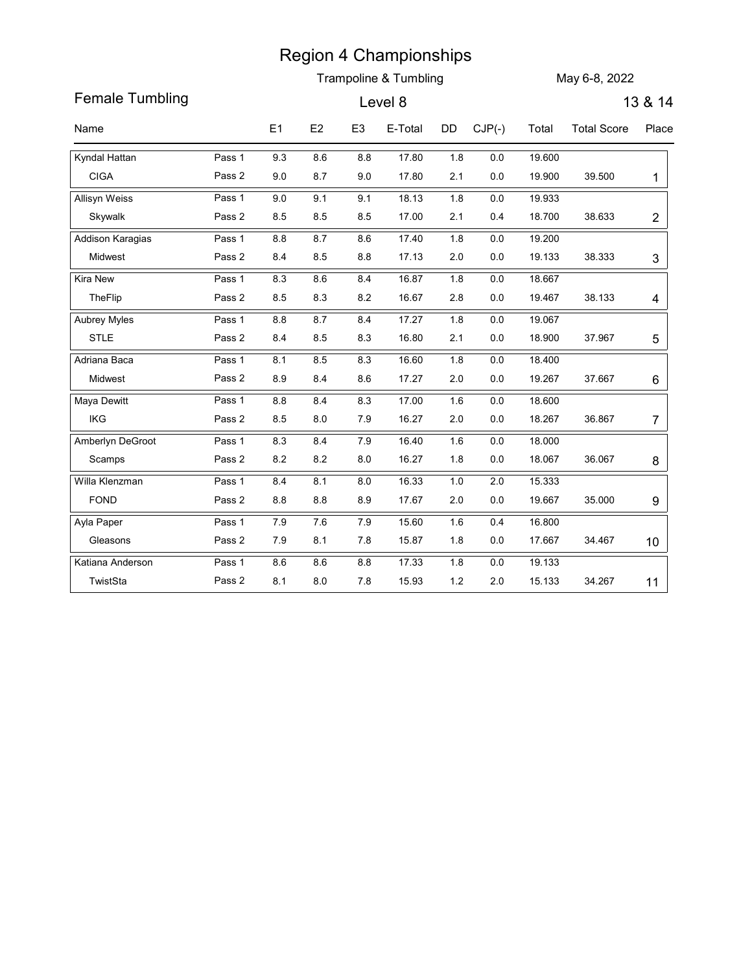|                        |        |                |         |                | <b>Region 4 Championships</b> |         |          |        |                    |                |
|------------------------|--------|----------------|---------|----------------|-------------------------------|---------|----------|--------|--------------------|----------------|
|                        |        |                |         |                | Trampoline & Tumbling         |         |          |        | May 6-8, 2022      |                |
| <b>Female Tumbling</b> |        |                |         |                | Level 8                       |         |          |        |                    | 13 & 14        |
| Name                   |        | E <sub>1</sub> | E2      | E <sub>3</sub> | E-Total                       | DD      | $CJP(-)$ | Total  | <b>Total Score</b> | Place          |
| Kyndal Hattan          | Pass 1 | 9.3            | 8.6     | 8.8            | 17.80                         | 1.8     | 0.0      | 19.600 |                    |                |
| <b>CIGA</b>            | Pass 2 | 9.0            | 8.7     | 9.0            | 17.80                         | 2.1     | 0.0      | 19.900 | 39.500             | 1              |
| Allisyn Weiss          | Pass 1 | 9.0            | 9.1     | 9.1            | 18.13                         | 1.8     | 0.0      | 19.933 |                    |                |
| Skywalk                | Pass 2 | 8.5            | 8.5     | 8.5            | 17.00                         | 2.1     | 0.4      | 18.700 | 38.633             | $\overline{c}$ |
| Addison Karagias       | Pass 1 | 8.8            | 8.7     | 8.6            | 17.40                         | 1.8     | 0.0      | 19.200 |                    |                |
| Midwest                | Pass 2 | 8.4            | 8.5     | 8.8            | 17.13                         | $2.0\,$ | 0.0      | 19.133 | 38.333             | 3              |
| Kira New               | Pass 1 | 8.3            | 8.6     | 8.4            | 16.87                         | 1.8     | 0.0      | 18.667 |                    |                |
| TheFlip                | Pass 2 | 8.5            | 8.3     | $8.2\,$        | 16.67                         | 2.8     | 0.0      | 19.467 | 38.133             | 4              |
| Aubrey Myles           | Pass 1 | 8.8            | 8.7     | 8.4            | 17.27                         | 1.8     | 0.0      | 19.067 |                    |                |
| STLE                   | Pass 2 | 8.4            | 8.5     | 8.3            | 16.80                         | 2.1     | $0.0\,$  | 18.900 | 37.967             | 5              |
| Adriana Baca           | Pass 1 | 8.1            | $8.5\,$ | 8.3            | 16.60                         | 1.8     | $0.0\,$  | 18.400 |                    |                |
| Midwest                | Pass 2 | 8.9            | 8.4     | 8.6            | 17.27                         | $2.0\,$ | $0.0\,$  | 19.267 | 37.667             | 6              |
| Maya Dewitt            | Pass 1 | 8.8            | 8.4     | 8.3            | 17.00                         | 1.6     | $0.0\,$  | 18.600 |                    |                |
| IKG                    | Pass 2 | 8.5            | $8.0\,$ | $7.9$          | 16.27                         | $2.0\,$ | $0.0\,$  | 18.267 | 36.867             | $\overline{7}$ |
| Amberlyn DeGroot       | Pass 1 | 8.3            | 8.4     | 7.9            | 16.40                         | 1.6     | $0.0\,$  | 18.000 |                    |                |
| Scamps                 | Pass 2 | $8.2\,$        | 8.2     | $8.0\,$        | 16.27                         | 1.8     | $0.0\,$  | 18.067 | 36.067             | 8              |
| Willa Klenzman         | Pass 1 | 8.4            | 8.1     | 8.0            | 16.33                         | 1.0     | $2.0\,$  | 15.333 |                    |                |
| FOND                   | Pass 2 | $8.8\,$        | $8.8\,$ | 8.9            | 17.67                         | $2.0\,$ | $0.0\,$  | 19.667 | 35.000             | 9              |
| Ayla Paper             | Pass 1 | 7.9            | 7.6     | 7.9            | 15.60                         | 1.6     | 0.4      | 16.800 |                    |                |
| Gleasons               | Pass 2 | 7.9            | 8.1     | 7.8            | 15.87                         | 1.8     | $0.0\,$  | 17.667 | 34.467             | 10             |
| Katiana Anderson       | Pass 1 | 8.6            | $8.6\,$ | $8.8\,$        | 17.33                         | 1.8     | $0.0\,$  | 19.133 |                    |                |
| TwistSta               | Pass 2 | 8.1            | $8.0\,$ | 7.8            | 15.93                         | $1.2$   | $2.0\,$  | 15.133 | 34.267             | 11             |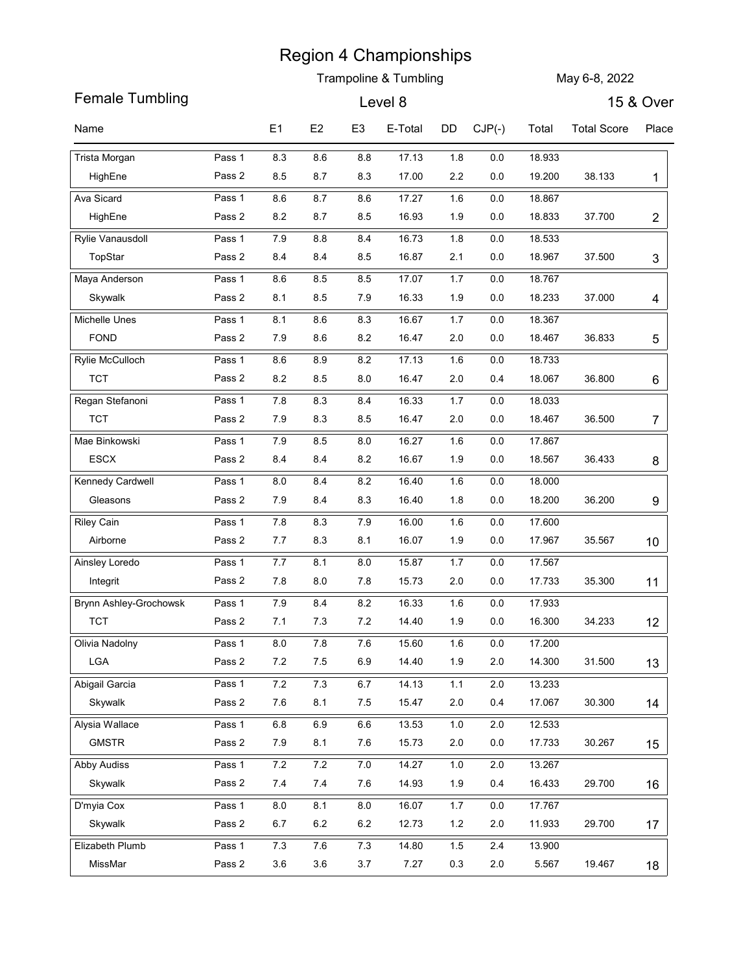|                               |                  |                  |                |                | <b>Trampoline &amp; Tumbling</b> |            |                |                  | May 6-8, 2022      |                |
|-------------------------------|------------------|------------------|----------------|----------------|----------------------------------|------------|----------------|------------------|--------------------|----------------|
| <b>Female Tumbling</b>        |                  |                  |                |                | Level 8                          |            |                |                  |                    | 15 & Over      |
| Name                          |                  | E <sub>1</sub>   | E2             | E <sub>3</sub> | E-Total                          | DD         | $CJP(-)$       | Total            | <b>Total Score</b> | Place          |
|                               |                  |                  |                |                |                                  |            |                |                  |                    |                |
| Trista Morgan<br>HighEne      | Pass 1<br>Pass 2 | 8.3<br>8.5       | 8.6<br>8.7     | 8.8<br>8.3     | 17.13<br>17.00                   | 1.8<br>2.2 | $0.0\,$<br>0.0 | 18.933<br>19.200 | 38.133             | 1              |
| Ava Sicard                    | Pass 1           | 8.6              | 8.7            | 8.6            | 17.27                            | 1.6        | $0.0\,$        | 18.867           |                    |                |
| HighEne                       | Pass 2           | 8.2              | 8.7            | 8.5            | 16.93                            | 1.9        | 0.0            | 18.833           | 37.700             | $\overline{c}$ |
| Rylie Vanausdoll              | Pass 1           | 7.9              | 8.8            | 8.4            | 16.73                            | 1.8        | $0.0\,$        | 18.533           |                    |                |
| TopStar                       | Pass 2           | 8.4              | 8.4            | 8.5            | 16.87                            | 2.1        | 0.0            | 18.967           | 37.500             | $\mathfrak{S}$ |
| Maya Anderson                 | Pass 1           | 8.6              | 8.5            | 8.5            | 17.07                            | 1.7        | $0.0\,$        | 18.767           |                    |                |
| Skywalk                       | Pass 2           | 8.1              | 8.5            | 7.9            | 16.33                            | 1.9        | 0.0            | 18.233           | 37.000             | 4              |
| Michelle Unes                 | Pass 1           | 8.1              | 8.6            | 8.3            | 16.67                            | 1.7        | $0.0\,$        | 18.367           |                    |                |
| FOND                          | Pass 2           | 7.9              | $8.6\,$        | $8.2\,$        | 16.47                            | $2.0\,$    | 0.0            | 18.467           | 36.833             | 5              |
| Rylie McCulloch               | Pass 1           | 8.6              | 8.9            | 8.2            | 17.13                            | 1.6        | $0.0\,$        | 18.733           |                    |                |
| <b>TCT</b>                    | Pass 2           | $8.2\,$          | 8.5            | $8.0\,$        | 16.47                            | $2.0\,$    | 0.4            | 18.067           | 36.800             | 6              |
| Regan Stefanoni               | Pass 1           | $7.8$            | 8.3            | 8.4            | 16.33                            | 1.7        | 0.0            | 18.033           |                    |                |
| <b>TCT</b>                    | Pass 2           | $7.9$            | 8.3            | $8.5\,$        | 16.47                            | $2.0\,$    | 0.0            | 18.467           | 36.500             | 7              |
| Mae Binkowski                 | Pass 1           | $7.9$            | 8.5            | $8.0\,$        | 16.27                            | 1.6        | 0.0            | 17.867           |                    |                |
| ESCX                          | Pass 2           | 8.4              | 8.4            | $8.2\,$        | 16.67                            | 1.9        | 0.0            | 18.567           | 36.433             | 8              |
| Kennedy Cardwell              | Pass 1           | 8.0              | 8.4            | 8.2            | 16.40                            | 1.6        | 0.0            | 18.000           |                    |                |
| Gleasons                      | Pass 2           | 7.9              | 8.4            | $8.3\,$        | 16.40                            | 1.8        | $0.0\,$        | 18.200           | 36.200             | 9              |
| <b>Riley Cain</b><br>Airborne | Pass 1<br>Pass 2 | $7.8\,$<br>$7.7$ | 8.3<br>$8.3\,$ | $7.9$<br>8.1   | 16.00<br>16.07                   | 1.6<br>1.9 | 0.0<br>$0.0\,$ | 17.600<br>17.967 | 35.567             |                |
| Ainsley Loredo                | Pass 1           | 7.7              | 8.1            | 8.0            | 15.87                            | 1.7        | 0.0            | 17.567           |                    | 10             |
| Integrit                      | Pass 2           | $7.8$            | $8.0\,$        | $7.8$          | 15.73                            | $2.0\,$    | 0.0            | 17.733           | 35.300             | 11             |
| Brynn Ashley-Grochowsk        | Pass 1           | $7.9$            | 8.4            | $8.2\,$        | 16.33                            | 1.6        | 0.0            | 17.933           |                    |                |
| <b>TCT</b>                    | Pass 2           | 7.1              | 7.3            | $7.2\,$        | 14.40                            | 1.9        | $0.0\,$        | 16.300           | 34.233             | 12             |
| Olivia Nadolny                | Pass 1           | $8.0\,$          | 7.8            | $7.6\,$        | 15.60                            | 1.6        | 0.0            | 17.200           |                    |                |
| ${\sf LGA}$                   | Pass 2           | $7.2\,$          | 7.5            | 6.9            | 14.40                            | 1.9        | $2.0$          | 14.300           | 31.500             | 13             |
| Abigail Garcia                | Pass 1           | $7.2\,$          | 7.3            | $6.7\,$        | 14.13                            | $1.1$      | $2.0\,$        | 13.233           |                    |                |
| Skywalk                       | Pass 2           | $7.6\,$          | 8.1            | $7.5\,$        | 15.47                            | $2.0\,$    | 0.4            | 17.067           | 30.300             | 14             |
| Alysia Wallace                | Pass 1           | $6.8\,$          | 6.9            | $6.6\,$        | 13.53                            | $1.0\,$    | $2.0\,$        | 12.533           |                    |                |
| <b>GMSTR</b>                  | Pass 2           | $7.9$            | 8.1            | $7.6\,$        | 15.73                            | $2.0\,$    | $0.0\,$        | 17.733           | 30.267             | 15             |
| Abby Audiss                   | Pass 1           | $7.2\,$          | 7.2            | $7.0\,$        | 14.27                            | $1.0\,$    | $2.0\,$        | 13.267           |                    |                |
| Skywalk                       | Pass 2           | 7.4              | $7.4$          | $7.6\,$        | 14.93                            | 1.9        | 0.4            | 16.433           | 29.700             | 16             |
| D'myia Cox                    | Pass 1           | 8.0              | 8.1            | 8.0            | 16.07                            | 1.7        | 0.0            | 17.767           |                    |                |
| Skywalk                       | Pass 2           | $6.7\,$          | $6.2\,$        | $6.2\,$        | 12.73                            | $1.2\,$    | $2.0$          | 11.933           | 29.700             | 17             |
| Elizabeth Plumb               | Pass 1           | $7.3$            | 7.6            | $7.3$          | 14.80                            | 1.5        | 2.4            | 13.900           |                    |                |
| MissMar                       | Pass 2           | $3.6\,$          | 3.6            | $3.7\,$        | 7.27                             | 0.3        | $2.0\,$        | 5.567            | 19.467             | 18             |

 $\overline{\phantom{a}}$ 

 $\overline{\phantom{a}}$ 

 $\overline{\phantom{a}}$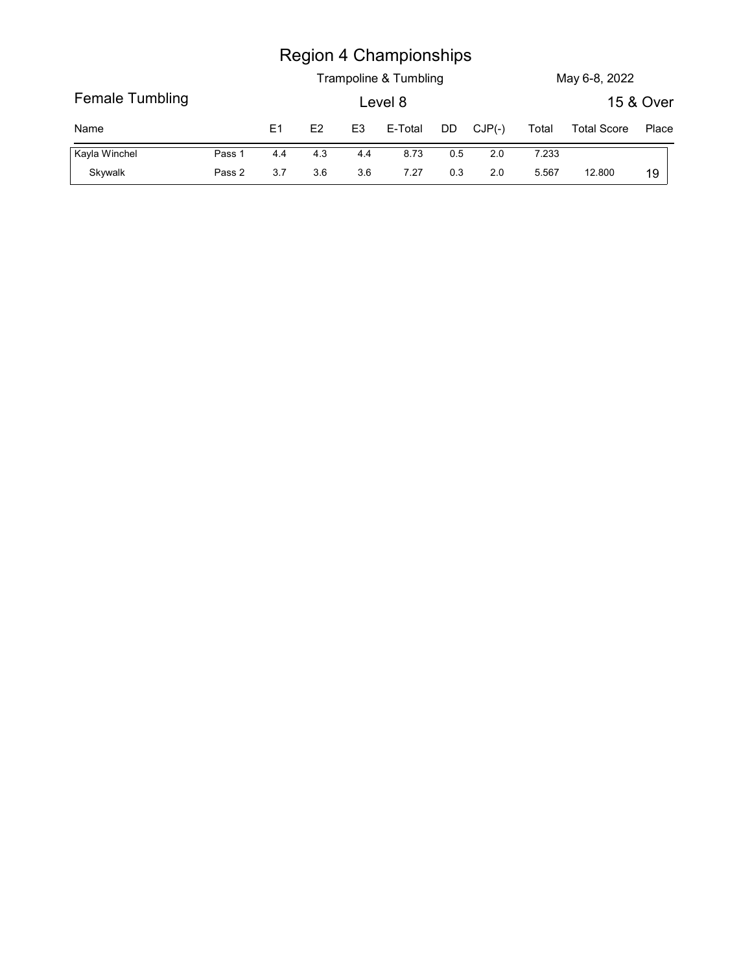|                 |        |                |     |                | <b>Region 4 Championships</b>    |     |          |       |                    |           |
|-----------------|--------|----------------|-----|----------------|----------------------------------|-----|----------|-------|--------------------|-----------|
| Female Tumbling |        |                |     |                | Trampoline & Tumbling<br>Level 8 |     |          |       | May 6-8, 2022      | 15 & Over |
| Name            |        | E <sub>1</sub> | E2  | E <sub>3</sub> | E-Total                          | DD  | $CJP(-)$ | Total | <b>Total Score</b> | Place     |
| Kayla Winchel   | Pass 1 | 4.4            | 4.3 | 4.4            | 8.73                             | 0.5 | 2.0      | 7.233 |                    |           |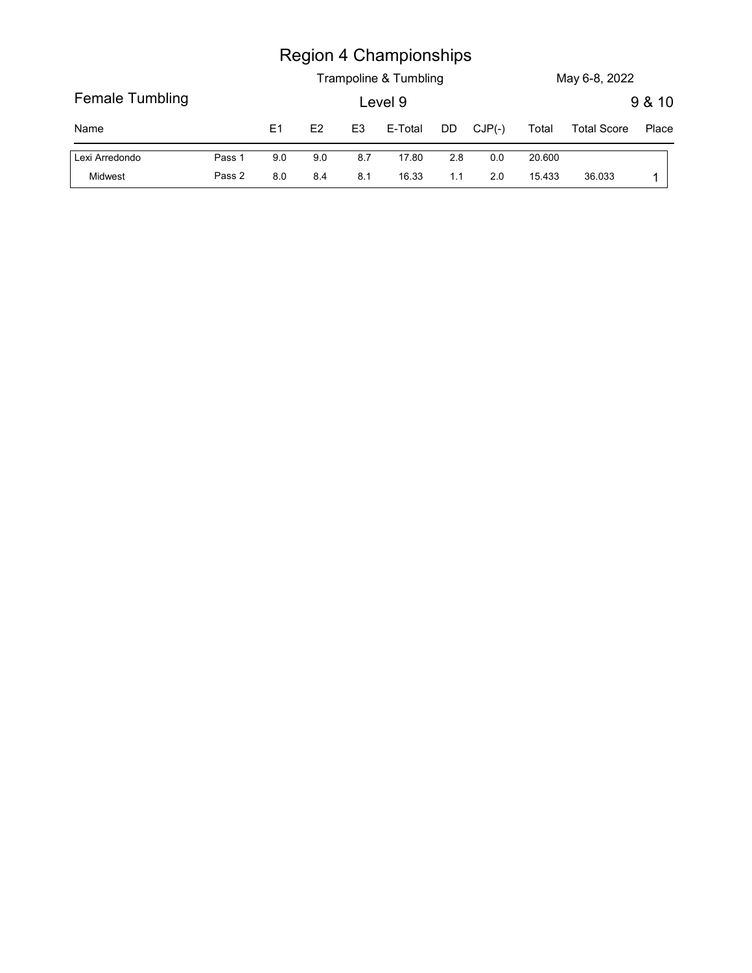|                 |        |                |     |                | <b>Region 4 Championships</b> |         |          |        |                    |        |
|-----------------|--------|----------------|-----|----------------|-------------------------------|---------|----------|--------|--------------------|--------|
|                 |        |                |     |                | Trampoline & Tumbling         |         |          |        | May 6-8, 2022      |        |
| Female Tumbling |        |                |     |                | Level 9                       |         |          |        |                    | 9 & 10 |
| Name            |        | E <sub>1</sub> | E2  | E <sub>3</sub> | E-Total                       | DD      | $CJP(-)$ | Total  | <b>Total Score</b> | Place  |
| Lexi Arredondo  | Pass 1 | $9.0\,$        | 9.0 | 8.7            | 17.80                         | $2.8\,$ | $0.0\,$  | 20.600 |                    |        |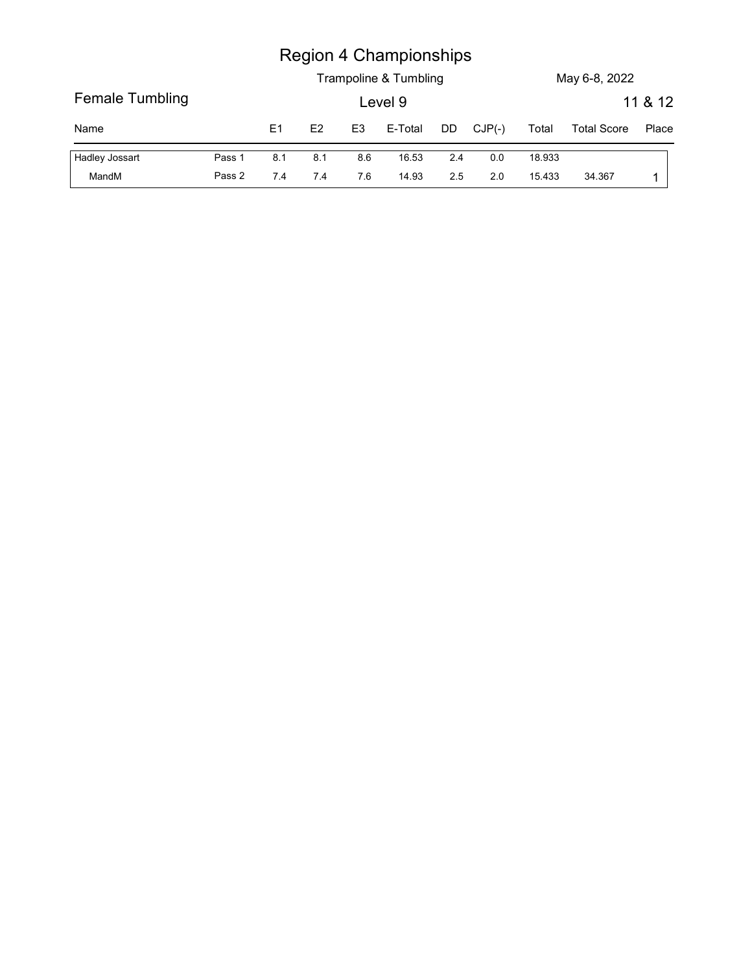|                 |        |     |               |                | <b>Region 4 Championships</b><br>Trampoline & Tumbling |     |          |        | May 6-8, 2022      |                  |
|-----------------|--------|-----|---------------|----------------|--------------------------------------------------------|-----|----------|--------|--------------------|------------------|
| Female Tumbling |        |     |               |                | Level 9                                                |     |          |        |                    |                  |
| Name            |        | E1  | $\mathsf{E}2$ | E <sub>3</sub> | E-Total                                                | DD  | $CJP(-)$ | Total  | <b>Total Score</b> | 11 & 12<br>Place |
| Hadley Jossart  | Pass 1 | 8.1 | 8.1           | 8.6            | 16.53                                                  | 2.4 | $0.0\,$  | 18.933 |                    |                  |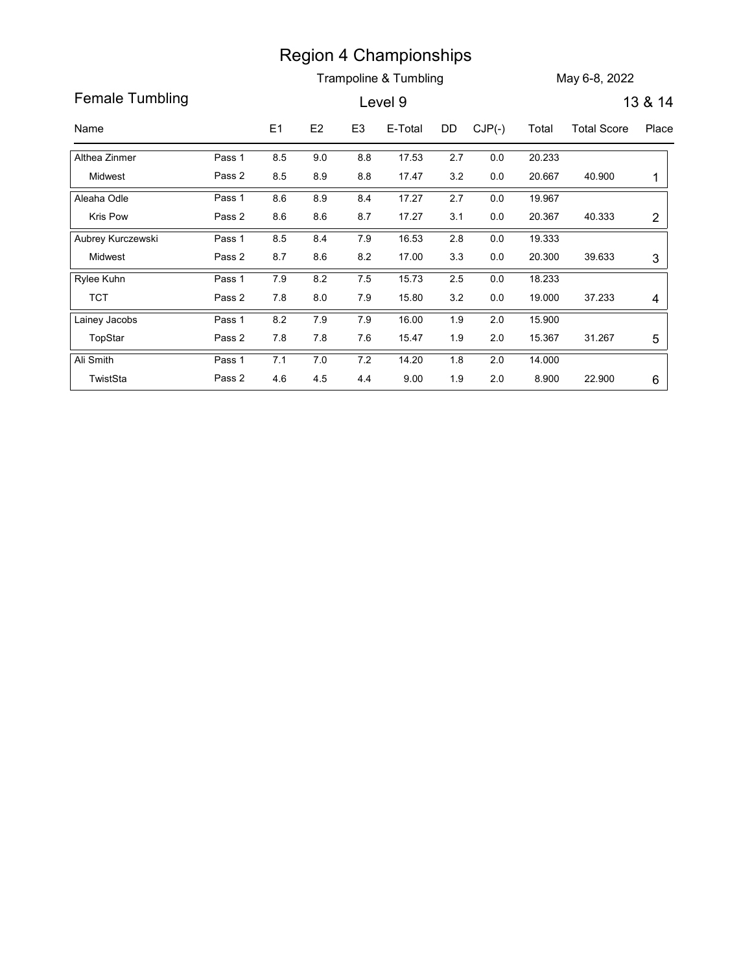Region 4 Championships<br>
Female Tumbling<br>
Name E1 E2 E3 E-Total DD CJP(-) Total Total Score Place<br>
Name E1 E2 E3 E-Total DD CJP(-) Total Total Score Place<br>
Althea Zinmer Pass 1 8.5 9.0 8.8 17.53 2.7 0.0 20.233<br>
Midwest Pass Region 4 Championships<br>
Female Tumbling<br>
Female Tumbling<br>
Level 9<br>
Name<br>
E1 E2 E3 E-Total DD CJP(-) Total Total Score Place<br>
Althea Zinmer<br>
Pass 1 8.5 9.0 8.8 17.53 2.7 0.0 20.233<br>
Midwest<br>
Pass 2 8.5 8.9 8.8 17.47 3.2 0.0 Trampoline & Tumbling May 6-8, 2022 Region 4 Championships<br>
Trampoline & Tumbling<br>
Level 9 13 & 14<br>
E1 E2 E3 E-Total DD CJP(-) Total Total Score Place<br>
8.5 9.0 8.8 17.53 2.7 0.0 20.233<br>
8.5 8.9 8.8 17.47 3.2 0.0 20.667 40.900 1<br>
8.6 8.9 8.4 17.27 2.7 0.0 19. Midwest Althea Zinmer Region 4 Championships<br>
Trampoline & Tumbling<br>
Level 9 13 & 14<br>
E1 E2 E3 E-Total DD CJP(-) Total Total Score Place<br>
8.5 9.0 8.8 17.53 2.7 0.0 20.233<br>
8.5 8.9 8.8 17.47 3.2 0.0 20.667 40.900 1<br>
8.6 8.9 8.4 17.27 2.7 0.0 19.  $2.7$  0.0 20.233 and 20.233 and 20.233 and 20.233 and 20.233 and 20.233 and 20.233 and 20.233 and 20.233 and 20.233 and 20.233 and 20.233 and 20.233 and 20.233 and 20.233 and 20.233 and 20.233 and 20.233 and 20.233 and 20 20.667 0.0  $1 \vert$ Pass 1 8.5 9.0 8.8 17.53 2.7 Pass 2 8.5 8.9 8.8 17.47 3.2 8.6 8.9 8.4 17.27 Kris Pow **Pass 2** 8.6 8.6 8.7 17.27 Aleaha Odle Pass 1 8.6 8.9 Region 4 Championships<br>
Trampoline & Tumbling<br>
Level 9<br>
13 & 14<br>
18 18 19<br>
8.6 8.9 8.8 17.53 2.7 0.0 20.233<br>
8.5 8.9 8.8 17.47 3.2 0.0 20.667 40.900 1<br>
8.6 8.9 8.8 17.47 2.7 0.0 19.967<br>
8.6 8.9 8.4 17.27 2.7 0.0 19.967<br>
8. 2.7 0.0 19.967 40.333 2 0.0 20.367 2 Pass 1 8.6 8.9 8.4 17.27 2.7 Pass 2 8.6 8.6 8.7 17.27 3.1 Region 4 Championships<br>
Trampoline & Tumbling<br>
Level 9 13 & 14<br>
E1 E2 E3 E-Total DD CJP(-) Total Total Score Place<br>
8.5 9.0 8.8 17.53 2.7 0.0 20.233<br>
8.5 8.9 8.8 17.47 3.2 0.0 20.667 40.900 1<br>
8.6 8.9 8.4 17.27 2.7 0.0 19. Midwest Aubrey Kurczewski Region 4 Championships<br>
Trampoline & Tumbling<br>
Level 9<br>
13 & 14<br>
E1 E2 E3 E-Total DD CJP(-) Total Total Score Place<br>
8.5 9.0 8.8 17.53 2.7 0.0 20.233<br>
8.5 8.9 8.8 17.47 3.2 0.0 20.667 40.900 1<br>
8.6 8.9 8.4 17.27 2.7 0.0 19 19.333 2.8 0.0 0.0 20.300 39.633 3  $3 \mid$ Pass 1 8.5 8.4 7.9 16.53 2.8 Pass 2 8.7 8.6 8.2 17.00 3.3 Region 4 Championships<br>
Trampoline & Tumbling<br>
Level 9<br>
13 & 14<br>
17.52 63 6.17.53 2.7 0.0 20.233<br>
8.5 8.9 8.8 17.53 2.7 0.0 20.233<br>
8.5 8.9 8.8 17.47 3.2 0.0 20.667 40.900 1<br>
8.6 8.9 8.4 17.27 2.7 0.0 19.967<br>
8.6 8.6 8.7 1 TCT Pass 2 Rylee Kuhn Pass 1 7.9 8.2 **Region 4 Championships**<br>
Trampoline & Tumbling<br>
Level 9 13 & 14<br>
13 & 14<br>
13 & 14<br>
13 & 14<br>
13 & 14<br>
13 & 14<br>
13 & 14<br>
13 & 14<br>
13 & 14<br>
13 & 14<br>
13 & 14<br>
13 & 14<br>
13 & 14<br>
13 & 14<br>
13 & 17<br>
13 & 16<br>
1996<br>
1996<br>
1996<br>
199 18.233 2.5 0.0 0.0 19.000 37.233 4 4 Pass 1 7.9 8.2 7.5 15.73 2.5 Region 4 Championships<br>
Trampoline & Tumbling<br>
Level 9<br>
13 & 14<br>
15 1 2 2 53 E-Total DD CJP(-) Total Total Score Place<br>
8.5 9.0 8.8 17.53 2.7 0.0 20.233<br>
8.5 8.9 8.8 17.47 3.2 0.0 20.867 40.900 1<br>
8.6 8.9 8.4 17.27 2.7 0.0 TopStar Lainey Jacobs Pass 1 8.2 7.9 Region 4 Championships<br>
Trampoline & Tumbling<br>
Level 9 13 & 14<br>
51 E2 E3 E-Total DD CJP(c) Total Total Score Place<br>
8.5 9.0 8.8 17.53 2.7 0.0 20.233<br>
8.5 8.9 8.8 17.47 3.2 0.0 20.667 40.900 1<br>
8.6 8.9 8.4 17.27 2.7 0.0 19. 1.9 2.0 15.900 2.0 15.367 31.267 5  $5 \mid$ Pass 1 8.2 7.9 7.9 16.00 1.9 Pass 2 7.8 7.8 7.6 15.47 1.9 Region 4 Championships<br>
Trampoline & Tumbling<br>
Level 9 13 & 14<br>
5.1 6.2 63 6.7 13.53 2.7 0.0 20.83<br>
6.5 8.9 8.8 17.47 3.2 0.0 20.867 40.900 1<br>
6.6 8.9 8.4 17.27 2.7 0.0 19.967<br>
6.6 8.6 8.7 17.27 3.1 0.0 20.367 40.303 2<br>
6. TwistSta Pass 2 4.6 4.5 Ali Smith Pass 1 7.1 7.0 4.6 4.5 4.4 9.00 1.9 22.900 14.000 1.8 2.0 2.0 8.900 22.900 6 6 Pass 1 7.1 7.0 7.2 14.20 1.8 Pass 2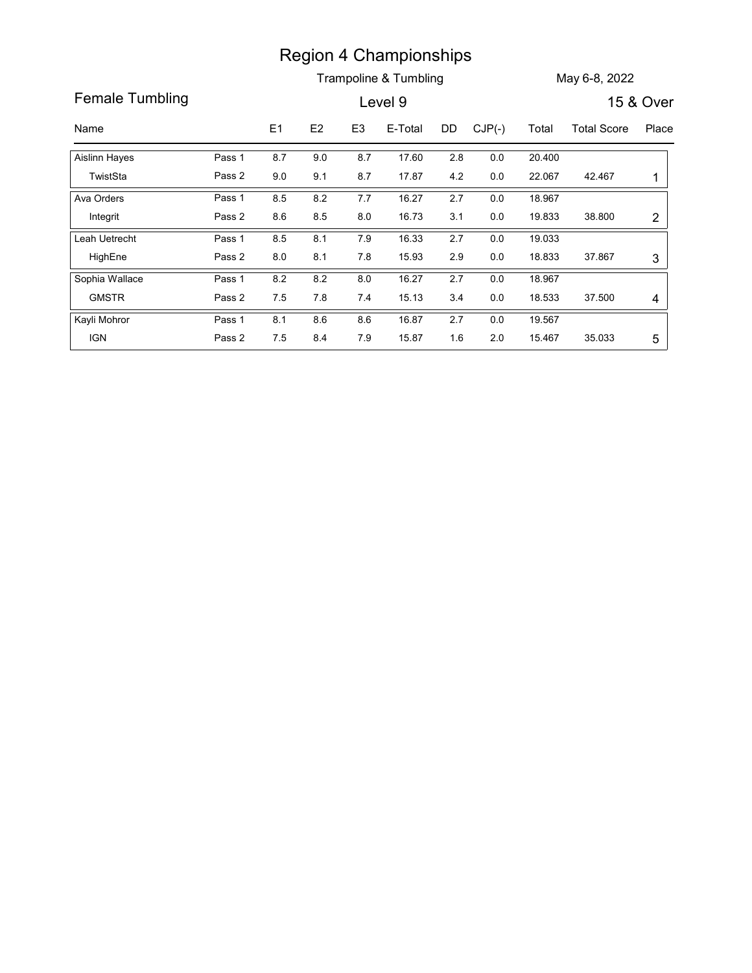|                                |                  |            |            |                | <b>Region 4 Championships</b> |            |                |                  |                    |                |
|--------------------------------|------------------|------------|------------|----------------|-------------------------------|------------|----------------|------------------|--------------------|----------------|
| Female Tumbling                |                  |            |            |                | Trampoline & Tumbling         |            |                |                  | May 6-8, 2022      |                |
|                                |                  |            |            |                | Level 9                       |            |                |                  |                    | 15 & Over      |
| Name                           |                  | E1         | E2         | E <sub>3</sub> | E-Total                       | DD         | $CJP(-)$       | Total            | <b>Total Score</b> | Place          |
| <b>Aislinn Hayes</b>           | Pass 1           | 8.7        | 9.0        | 8.7            | 17.60                         | 2.8        | $0.0\,$        | 20.400           |                    |                |
| TwistSta                       | Pass 2           | 9.0        | 9.1        | 8.7            | 17.87                         | 4.2        | $0.0\,$        | 22.067           | 42.467             | $\mathbf{1}$   |
| Ava Orders                     | Pass 1           | 8.5        | $8.2\,$    | 7.7            | 16.27                         | 2.7        | $0.0\,$        | 18.967           |                    |                |
| Integrit                       | Pass 2           | 8.6        | $8.5\,$    | 8.0            | 16.73                         | 3.1        | $0.0\,$        | 19.833           | 38.800             | $\overline{c}$ |
| Leah Uetrecht                  | Pass 1           | 8.5        | 8.1        | 7.9            | 16.33                         | 2.7        | $0.0\,$        | 19.033           |                    |                |
| HighEne                        | Pass 2           | 8.0        | 8.1        | 7.8            | 15.93                         | 2.9        | $0.0\,$        | 18.833           | 37.867             | 3              |
| Sophia Wallace<br><b>GMSTR</b> | Pass 1<br>Pass 2 | 8.2<br>7.5 | 8.2<br>7.8 | 8.0<br>7.4     | 16.27<br>15.13                | 2.7<br>3.4 | $0.0\,$<br>0.0 | 18.967<br>18.533 | 37.500             | 4              |
|                                | Pass 1           | 8.1        | 8.6        | 8.6            | 16.87                         | 2.7        | 0.0            | 19.567           |                    |                |
| Kayli Mohror                   |                  |            |            | 7.9            | 15.87                         | 1.6        | $2.0\,$        | 15.467           | 35.033             | 5              |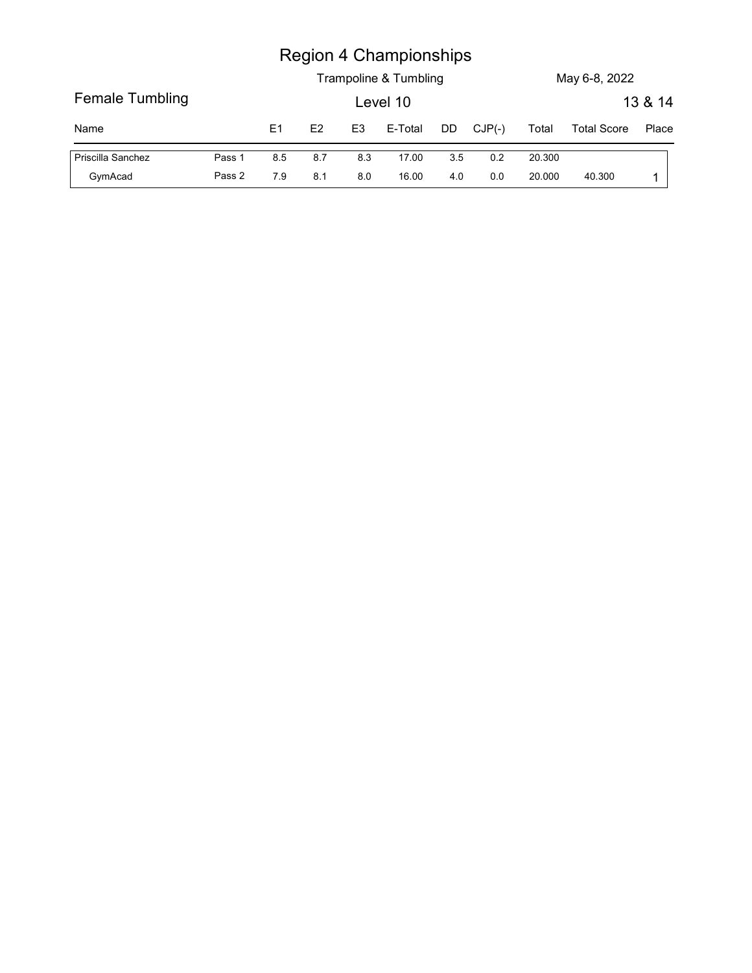|                   |        |                |     |                | <b>Region 4 Championships</b> |     |          |        |                    |         |
|-------------------|--------|----------------|-----|----------------|-------------------------------|-----|----------|--------|--------------------|---------|
|                   |        |                |     |                | Trampoline & Tumbling         |     |          |        | May 6-8, 2022      |         |
| Female Tumbling   |        |                |     |                | Level 10                      |     |          |        |                    | 13 & 14 |
| Name              |        | E <sub>1</sub> | E2  | E <sub>3</sub> | E-Total                       | DD  | $CJP(-)$ | Total  | <b>Total Score</b> | Place   |
| Priscilla Sanchez | Pass 1 | 8.5            | 8.7 | 8.3            | 17.00                         | 3.5 | $0.2\,$  | 20.300 |                    |         |